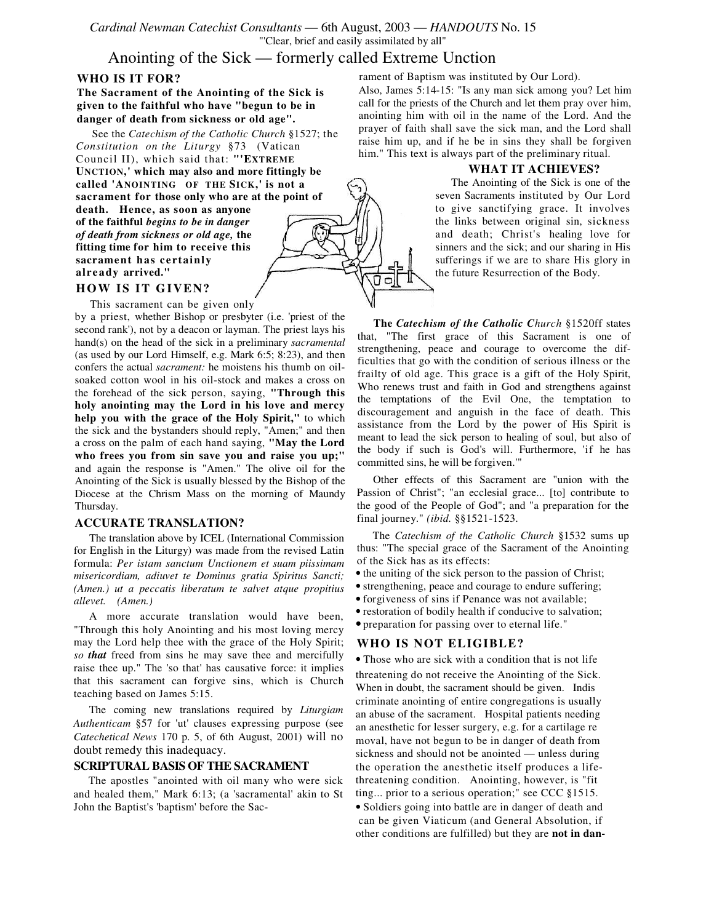*Cardinal Newman Catechist Consultants* — 6th August, 2003 — *HANDOUTS* No. 15 "'Clear, brief and easily assimilated by all"

# Anointing of the Sick — formerly called Extreme Unction

## **WHO IS IT FOR?**

**The Sacrament of the Anointing of the Sick is given to the faithful who have "begun to be in danger of death from sickness or old age".**

See the *Catechism of the Catholic Church* §1527; the *Constitution on the Liturgy* §73 (Vatican Council II), which said that: **"'EXTREME UNCTION,' which may also and more fittingly be called 'ANOINTING OF THE SICK,' is not a sacrament for those only who are at the point of death. Hence, as soon as anyone**

**of the faithful** *begins to be in danger of death from sickness or old age,* **the fitting time for him to receive this sacrament has c ert ainly alre ady arrived."**

## **HOW IS IT GIVEN?**

This sacrament can be given only

by a priest, whether Bishop or presbyter (i.e. 'priest of the second rank'), not by a deacon or layman. The priest lays his hand(s) on the head of the sick in a preliminary *sacramental* (as used by our Lord Himself, e.g. Mark 6:5; 8:23), and then confers the actual *sacrament:* he moistens his thumb on oilsoaked cotton wool in his oil-stock and makes a cross on the forehead of the sick person, saying, **"Through this holy anointing may the Lord in his love and mercy help you with the grace of the Holy Spirit,"** to which the sick and the bystanders should reply, "Amen;" and then a cross on the palm of each hand saying, **"May the Lord who frees you from sin save you and raise you up;"** and again the response is "Amen." The olive oil for the Anointing of the Sick is usually blessed by the Bishop of the Diocese at the Chrism Mass on the morning of Maundy Thursday.

#### **ACCURATE TRANSLATION?**

The translation above by ICEL (International Commission for English in the Liturgy) was made from the revised Latin formula: *Per istam sanctum Unctionem et suam piissimam misericordiam, adiuvet te Dominus gratia Spiritus Sancti; (Amen.) ut a peccatis liberatum te salvet atque propitius allevet. (Amen.)*

A more accurate translation would have been, "Through this holy Anointing and his most loving mercy may the Lord help thee with the grace of the Holy Spirit; *so that* freed from sins he may save thee and mercifully raise thee up." The 'so that' has causative force: it implies that this sacrament can forgive sins, which is Church teaching based on James 5:15.

The coming new translations required by *Liturgiam Authenticam* §57 for 'ut' clauses expressing purpose (see *Catechetical News* 170 p. 5, of 6th August, 2001) will no doubt remedy this inadequacy.

#### **SCRIPTURAL BASIS OF THE SACRAMENT**

The apostles "anointed with oil many who were sick and healed them," Mark 6:13; (a 'sacramental' akin to St John the Baptist's 'baptism' before the Sacrament of Baptism was instituted by Our Lord).

Also, James 5:14-15: "Is any man sick among you? Let him call for the priests of the Church and let them pray over him, anointing him with oil in the name of the Lord. And the prayer of faith shall save the sick man, and the Lord shall raise him up, and if he be in sins they shall be forgiven him." This text is always part of the preliminary ritual.

#### **WHAT IT ACHIEVES?**

The Anointing of the Sick is one of the seven Sacraments instituted by Our Lord to give sanctifying grace. It involves the links between original sin, sickness and death; Christ's healing love for sinners and the sick; and our sharing in His sufferings if we are to share His glory in the future Resurrection of the Body.

**The** *Catechism of the Catholic Church* §1520ff states that, "The first grace of this Sacrament is one of strengthening, peace and courage to overcome the difficulties that go with the condition of serious illness or the frailty of old age. This grace is a gift of the Holy Spirit, Who renews trust and faith in God and strengthens against the temptations of the Evil One, the temptation to discouragement and anguish in the face of death. This assistance from the Lord by the power of His Spirit is meant to lead the sick person to healing of soul, but also of the body if such is God's will. Furthermore, 'if he has committed sins, he will be forgiven.'"

Other effects of this Sacrament are "union with the Passion of Christ"; "an ecclesial grace... [to] contribute to the good of the People of God"; and "a preparation for the final journey." *(ibid.* §§1521-1523.

The *Catechism of the Catholic Church* §1532 sums up thus: "The special grace of the Sacrament of the Anointing of the Sick has as its effects:

- the uniting of the sick person to the passion of Christ;
- strengthening, peace and courage to endure suffering;
- forgiveness of sins if Penance was not available;
- restoration of bodily health if conducive to salvation;
- preparation for passing over to eternal life."

### **WHO IS NOT ELIGIBLE?**

• Those who are sick with a condition that is not life threatening do not receive the Anointing of the Sick. When in doubt, the sacrament should be given. Indis criminate anointing of entire congregations is usually an abuse of the sacrament. Hospital patients needing an anesthetic for lesser surgery, e.g. for a cartilage re moval, have not begun to be in danger of death from sickness and should not be anointed — unless during the operation the anesthetic itself produces a lifethreatening condition. Anointing, however, is "fit ting... prior to a serious operation;" see CCC §1515. • Soldiers going into battle are in danger of death and can be given Viaticum (and General Absolution, if

other conditions are fulfilled) but they are **not in dan-**